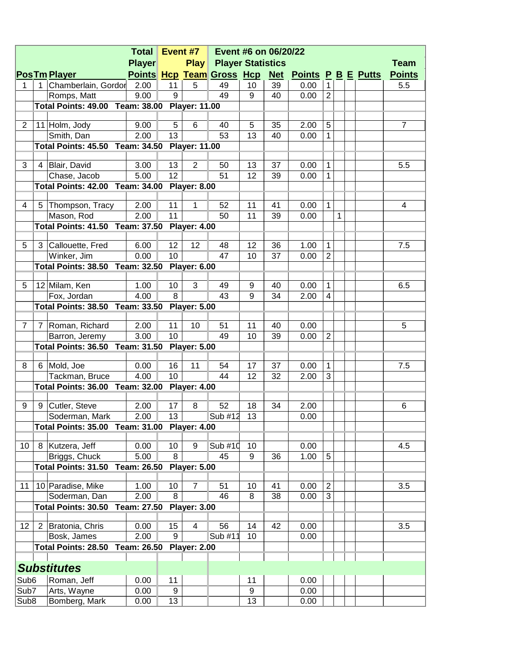| <b>Player</b><br><b>Play Player Statistics</b><br><b>Team</b><br>Points Hcp Team Gross Hcp Net Points P B E Putts<br><b>Points</b><br><b>PosTm Player</b><br>Chamberlain, Gordor<br>11<br>5.5<br>2.00<br>5<br>49<br>10<br>39<br>$\mathbf{1}$<br>$\mathbf 1$<br>0.00<br>1.<br>9<br>$\overline{2}$<br>Romps, Matt<br>9.00<br>49<br>9<br>40<br>0.00<br>Total Points: 49.00 Team: 38.00 Player: 11.00<br>5<br>$\overline{2}$<br>6<br>5<br>$\overline{7}$<br>11 Holm, Jody<br>9.00<br>5<br>35<br>40<br>2.00<br>13<br>2.00<br>53<br>13<br>$\mathbf{1}$<br>Smith, Dan<br>40<br>0.00<br>Total Points: 45.50 Team: 34.50 Player: 11.00<br>3<br>13<br>Blair, David<br>3.00<br>2<br>50<br>13<br>37<br>1<br>5.5<br>0.00<br>4<br>12 <sup>°</sup><br>Chase, Jacob<br>5.00<br>12<br>$\mathbf{1}$<br>51<br>39<br>0.00<br>Total Points: 42.00 Team: 34.00 Player: 8.00<br>11<br>52<br>$\mathbf{1}$<br>2.00<br>1<br>11<br>0.00<br>4<br>5<br>Thompson, Tracy<br>41<br>4<br>Mason, Rod<br>2.00<br>11<br>11<br>1<br>50<br>39<br>0.00<br>Total Points: 41.50 Team: 37.50 Player: 4.00<br>5<br>12<br>12<br>$\mathbf{1}$<br>Callouette, Fred<br>6.00<br>48<br>12<br>36<br>1.00<br>7.5<br>3<br>$\overline{2}$<br>Winker, Jim<br>0.00<br>10<br>47<br>10<br>37<br>0.00<br>Total Points: 38.50 Team: 32.50 Player: 6.00<br>10<br>3<br>$\mathbf{1}$<br>5<br>12 Milam, Ken<br>1.00<br>9<br>0.00<br>6.5<br>49<br>40<br>8<br>Fox, Jordan<br>4.00<br>$\mathbf{Q}$<br>$\overline{4}$<br>43<br>34<br>2.00<br>Total Points: 38.50 Team: 33.50 Player: 5.00<br>11<br>$\overline{7}$<br>Roman, Richard<br>2.00<br>10<br>51<br>11<br>0.00<br>5<br>$\overline{7}$<br>40<br>10<br>$\overline{2}$<br>3.00<br>Barron, Jeremy<br>49<br>10<br>39<br>0.00<br>Total Points: 36.50 Team: 31.50 Player: 5.00<br>16<br>6 Mold, Joe<br>11<br>17<br>37<br>$\mathbf{1}$<br>8<br>0.00<br>54<br>0.00<br>7.5<br>4.00<br>10<br>12<br>3<br>Tackman, Bruce<br>44<br>32<br>2.00<br>Total Points: 36.00 Team: 32.00 Player: 4.00<br>9 Cutler, Steve<br>17<br>52<br>34<br>9<br>2.00<br>8<br>18<br>2.00<br>6<br>Sub #12<br>13<br>2.00<br>13<br>Soderman, Mark<br>0.00<br><b>Total Points: 35.00 Team: 31.00</b><br><b>Player: 4.00</b><br>10<br>Kutzera, Jeff<br>10<br>Sub #10<br>0.00<br>4.5<br>0.00<br>9<br>10<br>8<br>5.00<br>8<br>9<br>5<br>Briggs, Chuck<br>45<br>36<br>1.00<br>Total Points: 31.50<br>Team: 26.50<br><b>Player: 5.00</b><br>10 Paradise, Mike<br>$\overline{2}$<br>1.00<br>10<br>$\overline{7}$<br>3.5<br>11<br>51<br>10<br>41<br>0.00<br>8<br>3<br>2.00<br>38<br>Soderman, Dan<br>46<br>8<br>0.00<br>Total Points: 30.50<br>Team: 27.50<br><b>Player: 3.00</b><br>12<br>Bratonia, Chris<br>15<br>14<br>42<br>3.5<br>2<br>0.00<br>56<br>0.00<br>4<br>9<br>2.00<br>Sub #11<br>Bosk, James<br>10<br>0.00<br><b>Total Points: 28.50</b><br>Team: 26.50<br><b>Player: 2.00</b><br><b>Substitutes</b><br>Sub <sub>6</sub><br>Roman, Jeff<br>0.00<br>11<br>0.00<br>11<br>9<br>Sub7<br>Arts, Wayne<br>0.00<br>9<br>0.00<br>13<br>Sub <sub>8</sub><br>Bomberg, Mark<br>13<br>0.00<br>0.00 | <b>Total</b> |  |  |  |  | Event #7 | Event #6 on 06/20/22 |  |  |  |  |  |  |  |  |
|------------------------------------------------------------------------------------------------------------------------------------------------------------------------------------------------------------------------------------------------------------------------------------------------------------------------------------------------------------------------------------------------------------------------------------------------------------------------------------------------------------------------------------------------------------------------------------------------------------------------------------------------------------------------------------------------------------------------------------------------------------------------------------------------------------------------------------------------------------------------------------------------------------------------------------------------------------------------------------------------------------------------------------------------------------------------------------------------------------------------------------------------------------------------------------------------------------------------------------------------------------------------------------------------------------------------------------------------------------------------------------------------------------------------------------------------------------------------------------------------------------------------------------------------------------------------------------------------------------------------------------------------------------------------------------------------------------------------------------------------------------------------------------------------------------------------------------------------------------------------------------------------------------------------------------------------------------------------------------------------------------------------------------------------------------------------------------------------------------------------------------------------------------------------------------------------------------------------------------------------------------------------------------------------------------------------------------------------------------------------------------------------------------------------------------------------------------------------------------------------------------------------------------------------------------------------------------------------------------------------------------------------------------------------------------------------------------------------------------------------------------------------------------------------------------------------------------------------------------------------------------------------------------------------------------------------------------------------------------------------------------------------------------------|--------------|--|--|--|--|----------|----------------------|--|--|--|--|--|--|--|--|
|                                                                                                                                                                                                                                                                                                                                                                                                                                                                                                                                                                                                                                                                                                                                                                                                                                                                                                                                                                                                                                                                                                                                                                                                                                                                                                                                                                                                                                                                                                                                                                                                                                                                                                                                                                                                                                                                                                                                                                                                                                                                                                                                                                                                                                                                                                                                                                                                                                                                                                                                                                                                                                                                                                                                                                                                                                                                                                                                                                                                                                          |              |  |  |  |  |          |                      |  |  |  |  |  |  |  |  |
|                                                                                                                                                                                                                                                                                                                                                                                                                                                                                                                                                                                                                                                                                                                                                                                                                                                                                                                                                                                                                                                                                                                                                                                                                                                                                                                                                                                                                                                                                                                                                                                                                                                                                                                                                                                                                                                                                                                                                                                                                                                                                                                                                                                                                                                                                                                                                                                                                                                                                                                                                                                                                                                                                                                                                                                                                                                                                                                                                                                                                                          |              |  |  |  |  |          |                      |  |  |  |  |  |  |  |  |
|                                                                                                                                                                                                                                                                                                                                                                                                                                                                                                                                                                                                                                                                                                                                                                                                                                                                                                                                                                                                                                                                                                                                                                                                                                                                                                                                                                                                                                                                                                                                                                                                                                                                                                                                                                                                                                                                                                                                                                                                                                                                                                                                                                                                                                                                                                                                                                                                                                                                                                                                                                                                                                                                                                                                                                                                                                                                                                                                                                                                                                          |              |  |  |  |  |          |                      |  |  |  |  |  |  |  |  |
|                                                                                                                                                                                                                                                                                                                                                                                                                                                                                                                                                                                                                                                                                                                                                                                                                                                                                                                                                                                                                                                                                                                                                                                                                                                                                                                                                                                                                                                                                                                                                                                                                                                                                                                                                                                                                                                                                                                                                                                                                                                                                                                                                                                                                                                                                                                                                                                                                                                                                                                                                                                                                                                                                                                                                                                                                                                                                                                                                                                                                                          |              |  |  |  |  |          |                      |  |  |  |  |  |  |  |  |
|                                                                                                                                                                                                                                                                                                                                                                                                                                                                                                                                                                                                                                                                                                                                                                                                                                                                                                                                                                                                                                                                                                                                                                                                                                                                                                                                                                                                                                                                                                                                                                                                                                                                                                                                                                                                                                                                                                                                                                                                                                                                                                                                                                                                                                                                                                                                                                                                                                                                                                                                                                                                                                                                                                                                                                                                                                                                                                                                                                                                                                          |              |  |  |  |  |          |                      |  |  |  |  |  |  |  |  |
|                                                                                                                                                                                                                                                                                                                                                                                                                                                                                                                                                                                                                                                                                                                                                                                                                                                                                                                                                                                                                                                                                                                                                                                                                                                                                                                                                                                                                                                                                                                                                                                                                                                                                                                                                                                                                                                                                                                                                                                                                                                                                                                                                                                                                                                                                                                                                                                                                                                                                                                                                                                                                                                                                                                                                                                                                                                                                                                                                                                                                                          |              |  |  |  |  |          |                      |  |  |  |  |  |  |  |  |
|                                                                                                                                                                                                                                                                                                                                                                                                                                                                                                                                                                                                                                                                                                                                                                                                                                                                                                                                                                                                                                                                                                                                                                                                                                                                                                                                                                                                                                                                                                                                                                                                                                                                                                                                                                                                                                                                                                                                                                                                                                                                                                                                                                                                                                                                                                                                                                                                                                                                                                                                                                                                                                                                                                                                                                                                                                                                                                                                                                                                                                          |              |  |  |  |  |          |                      |  |  |  |  |  |  |  |  |
|                                                                                                                                                                                                                                                                                                                                                                                                                                                                                                                                                                                                                                                                                                                                                                                                                                                                                                                                                                                                                                                                                                                                                                                                                                                                                                                                                                                                                                                                                                                                                                                                                                                                                                                                                                                                                                                                                                                                                                                                                                                                                                                                                                                                                                                                                                                                                                                                                                                                                                                                                                                                                                                                                                                                                                                                                                                                                                                                                                                                                                          |              |  |  |  |  |          |                      |  |  |  |  |  |  |  |  |
|                                                                                                                                                                                                                                                                                                                                                                                                                                                                                                                                                                                                                                                                                                                                                                                                                                                                                                                                                                                                                                                                                                                                                                                                                                                                                                                                                                                                                                                                                                                                                                                                                                                                                                                                                                                                                                                                                                                                                                                                                                                                                                                                                                                                                                                                                                                                                                                                                                                                                                                                                                                                                                                                                                                                                                                                                                                                                                                                                                                                                                          |              |  |  |  |  |          |                      |  |  |  |  |  |  |  |  |
|                                                                                                                                                                                                                                                                                                                                                                                                                                                                                                                                                                                                                                                                                                                                                                                                                                                                                                                                                                                                                                                                                                                                                                                                                                                                                                                                                                                                                                                                                                                                                                                                                                                                                                                                                                                                                                                                                                                                                                                                                                                                                                                                                                                                                                                                                                                                                                                                                                                                                                                                                                                                                                                                                                                                                                                                                                                                                                                                                                                                                                          |              |  |  |  |  |          |                      |  |  |  |  |  |  |  |  |
|                                                                                                                                                                                                                                                                                                                                                                                                                                                                                                                                                                                                                                                                                                                                                                                                                                                                                                                                                                                                                                                                                                                                                                                                                                                                                                                                                                                                                                                                                                                                                                                                                                                                                                                                                                                                                                                                                                                                                                                                                                                                                                                                                                                                                                                                                                                                                                                                                                                                                                                                                                                                                                                                                                                                                                                                                                                                                                                                                                                                                                          |              |  |  |  |  |          |                      |  |  |  |  |  |  |  |  |
|                                                                                                                                                                                                                                                                                                                                                                                                                                                                                                                                                                                                                                                                                                                                                                                                                                                                                                                                                                                                                                                                                                                                                                                                                                                                                                                                                                                                                                                                                                                                                                                                                                                                                                                                                                                                                                                                                                                                                                                                                                                                                                                                                                                                                                                                                                                                                                                                                                                                                                                                                                                                                                                                                                                                                                                                                                                                                                                                                                                                                                          |              |  |  |  |  |          |                      |  |  |  |  |  |  |  |  |
|                                                                                                                                                                                                                                                                                                                                                                                                                                                                                                                                                                                                                                                                                                                                                                                                                                                                                                                                                                                                                                                                                                                                                                                                                                                                                                                                                                                                                                                                                                                                                                                                                                                                                                                                                                                                                                                                                                                                                                                                                                                                                                                                                                                                                                                                                                                                                                                                                                                                                                                                                                                                                                                                                                                                                                                                                                                                                                                                                                                                                                          |              |  |  |  |  |          |                      |  |  |  |  |  |  |  |  |
|                                                                                                                                                                                                                                                                                                                                                                                                                                                                                                                                                                                                                                                                                                                                                                                                                                                                                                                                                                                                                                                                                                                                                                                                                                                                                                                                                                                                                                                                                                                                                                                                                                                                                                                                                                                                                                                                                                                                                                                                                                                                                                                                                                                                                                                                                                                                                                                                                                                                                                                                                                                                                                                                                                                                                                                                                                                                                                                                                                                                                                          |              |  |  |  |  |          |                      |  |  |  |  |  |  |  |  |
|                                                                                                                                                                                                                                                                                                                                                                                                                                                                                                                                                                                                                                                                                                                                                                                                                                                                                                                                                                                                                                                                                                                                                                                                                                                                                                                                                                                                                                                                                                                                                                                                                                                                                                                                                                                                                                                                                                                                                                                                                                                                                                                                                                                                                                                                                                                                                                                                                                                                                                                                                                                                                                                                                                                                                                                                                                                                                                                                                                                                                                          |              |  |  |  |  |          |                      |  |  |  |  |  |  |  |  |
|                                                                                                                                                                                                                                                                                                                                                                                                                                                                                                                                                                                                                                                                                                                                                                                                                                                                                                                                                                                                                                                                                                                                                                                                                                                                                                                                                                                                                                                                                                                                                                                                                                                                                                                                                                                                                                                                                                                                                                                                                                                                                                                                                                                                                                                                                                                                                                                                                                                                                                                                                                                                                                                                                                                                                                                                                                                                                                                                                                                                                                          |              |  |  |  |  |          |                      |  |  |  |  |  |  |  |  |
|                                                                                                                                                                                                                                                                                                                                                                                                                                                                                                                                                                                                                                                                                                                                                                                                                                                                                                                                                                                                                                                                                                                                                                                                                                                                                                                                                                                                                                                                                                                                                                                                                                                                                                                                                                                                                                                                                                                                                                                                                                                                                                                                                                                                                                                                                                                                                                                                                                                                                                                                                                                                                                                                                                                                                                                                                                                                                                                                                                                                                                          |              |  |  |  |  |          |                      |  |  |  |  |  |  |  |  |
|                                                                                                                                                                                                                                                                                                                                                                                                                                                                                                                                                                                                                                                                                                                                                                                                                                                                                                                                                                                                                                                                                                                                                                                                                                                                                                                                                                                                                                                                                                                                                                                                                                                                                                                                                                                                                                                                                                                                                                                                                                                                                                                                                                                                                                                                                                                                                                                                                                                                                                                                                                                                                                                                                                                                                                                                                                                                                                                                                                                                                                          |              |  |  |  |  |          |                      |  |  |  |  |  |  |  |  |
|                                                                                                                                                                                                                                                                                                                                                                                                                                                                                                                                                                                                                                                                                                                                                                                                                                                                                                                                                                                                                                                                                                                                                                                                                                                                                                                                                                                                                                                                                                                                                                                                                                                                                                                                                                                                                                                                                                                                                                                                                                                                                                                                                                                                                                                                                                                                                                                                                                                                                                                                                                                                                                                                                                                                                                                                                                                                                                                                                                                                                                          |              |  |  |  |  |          |                      |  |  |  |  |  |  |  |  |
|                                                                                                                                                                                                                                                                                                                                                                                                                                                                                                                                                                                                                                                                                                                                                                                                                                                                                                                                                                                                                                                                                                                                                                                                                                                                                                                                                                                                                                                                                                                                                                                                                                                                                                                                                                                                                                                                                                                                                                                                                                                                                                                                                                                                                                                                                                                                                                                                                                                                                                                                                                                                                                                                                                                                                                                                                                                                                                                                                                                                                                          |              |  |  |  |  |          |                      |  |  |  |  |  |  |  |  |
|                                                                                                                                                                                                                                                                                                                                                                                                                                                                                                                                                                                                                                                                                                                                                                                                                                                                                                                                                                                                                                                                                                                                                                                                                                                                                                                                                                                                                                                                                                                                                                                                                                                                                                                                                                                                                                                                                                                                                                                                                                                                                                                                                                                                                                                                                                                                                                                                                                                                                                                                                                                                                                                                                                                                                                                                                                                                                                                                                                                                                                          |              |  |  |  |  |          |                      |  |  |  |  |  |  |  |  |
|                                                                                                                                                                                                                                                                                                                                                                                                                                                                                                                                                                                                                                                                                                                                                                                                                                                                                                                                                                                                                                                                                                                                                                                                                                                                                                                                                                                                                                                                                                                                                                                                                                                                                                                                                                                                                                                                                                                                                                                                                                                                                                                                                                                                                                                                                                                                                                                                                                                                                                                                                                                                                                                                                                                                                                                                                                                                                                                                                                                                                                          |              |  |  |  |  |          |                      |  |  |  |  |  |  |  |  |
|                                                                                                                                                                                                                                                                                                                                                                                                                                                                                                                                                                                                                                                                                                                                                                                                                                                                                                                                                                                                                                                                                                                                                                                                                                                                                                                                                                                                                                                                                                                                                                                                                                                                                                                                                                                                                                                                                                                                                                                                                                                                                                                                                                                                                                                                                                                                                                                                                                                                                                                                                                                                                                                                                                                                                                                                                                                                                                                                                                                                                                          |              |  |  |  |  |          |                      |  |  |  |  |  |  |  |  |
|                                                                                                                                                                                                                                                                                                                                                                                                                                                                                                                                                                                                                                                                                                                                                                                                                                                                                                                                                                                                                                                                                                                                                                                                                                                                                                                                                                                                                                                                                                                                                                                                                                                                                                                                                                                                                                                                                                                                                                                                                                                                                                                                                                                                                                                                                                                                                                                                                                                                                                                                                                                                                                                                                                                                                                                                                                                                                                                                                                                                                                          |              |  |  |  |  |          |                      |  |  |  |  |  |  |  |  |
|                                                                                                                                                                                                                                                                                                                                                                                                                                                                                                                                                                                                                                                                                                                                                                                                                                                                                                                                                                                                                                                                                                                                                                                                                                                                                                                                                                                                                                                                                                                                                                                                                                                                                                                                                                                                                                                                                                                                                                                                                                                                                                                                                                                                                                                                                                                                                                                                                                                                                                                                                                                                                                                                                                                                                                                                                                                                                                                                                                                                                                          |              |  |  |  |  |          |                      |  |  |  |  |  |  |  |  |
|                                                                                                                                                                                                                                                                                                                                                                                                                                                                                                                                                                                                                                                                                                                                                                                                                                                                                                                                                                                                                                                                                                                                                                                                                                                                                                                                                                                                                                                                                                                                                                                                                                                                                                                                                                                                                                                                                                                                                                                                                                                                                                                                                                                                                                                                                                                                                                                                                                                                                                                                                                                                                                                                                                                                                                                                                                                                                                                                                                                                                                          |              |  |  |  |  |          |                      |  |  |  |  |  |  |  |  |
|                                                                                                                                                                                                                                                                                                                                                                                                                                                                                                                                                                                                                                                                                                                                                                                                                                                                                                                                                                                                                                                                                                                                                                                                                                                                                                                                                                                                                                                                                                                                                                                                                                                                                                                                                                                                                                                                                                                                                                                                                                                                                                                                                                                                                                                                                                                                                                                                                                                                                                                                                                                                                                                                                                                                                                                                                                                                                                                                                                                                                                          |              |  |  |  |  |          |                      |  |  |  |  |  |  |  |  |
|                                                                                                                                                                                                                                                                                                                                                                                                                                                                                                                                                                                                                                                                                                                                                                                                                                                                                                                                                                                                                                                                                                                                                                                                                                                                                                                                                                                                                                                                                                                                                                                                                                                                                                                                                                                                                                                                                                                                                                                                                                                                                                                                                                                                                                                                                                                                                                                                                                                                                                                                                                                                                                                                                                                                                                                                                                                                                                                                                                                                                                          |              |  |  |  |  |          |                      |  |  |  |  |  |  |  |  |
|                                                                                                                                                                                                                                                                                                                                                                                                                                                                                                                                                                                                                                                                                                                                                                                                                                                                                                                                                                                                                                                                                                                                                                                                                                                                                                                                                                                                                                                                                                                                                                                                                                                                                                                                                                                                                                                                                                                                                                                                                                                                                                                                                                                                                                                                                                                                                                                                                                                                                                                                                                                                                                                                                                                                                                                                                                                                                                                                                                                                                                          |              |  |  |  |  |          |                      |  |  |  |  |  |  |  |  |
|                                                                                                                                                                                                                                                                                                                                                                                                                                                                                                                                                                                                                                                                                                                                                                                                                                                                                                                                                                                                                                                                                                                                                                                                                                                                                                                                                                                                                                                                                                                                                                                                                                                                                                                                                                                                                                                                                                                                                                                                                                                                                                                                                                                                                                                                                                                                                                                                                                                                                                                                                                                                                                                                                                                                                                                                                                                                                                                                                                                                                                          |              |  |  |  |  |          |                      |  |  |  |  |  |  |  |  |
|                                                                                                                                                                                                                                                                                                                                                                                                                                                                                                                                                                                                                                                                                                                                                                                                                                                                                                                                                                                                                                                                                                                                                                                                                                                                                                                                                                                                                                                                                                                                                                                                                                                                                                                                                                                                                                                                                                                                                                                                                                                                                                                                                                                                                                                                                                                                                                                                                                                                                                                                                                                                                                                                                                                                                                                                                                                                                                                                                                                                                                          |              |  |  |  |  |          |                      |  |  |  |  |  |  |  |  |
|                                                                                                                                                                                                                                                                                                                                                                                                                                                                                                                                                                                                                                                                                                                                                                                                                                                                                                                                                                                                                                                                                                                                                                                                                                                                                                                                                                                                                                                                                                                                                                                                                                                                                                                                                                                                                                                                                                                                                                                                                                                                                                                                                                                                                                                                                                                                                                                                                                                                                                                                                                                                                                                                                                                                                                                                                                                                                                                                                                                                                                          |              |  |  |  |  |          |                      |  |  |  |  |  |  |  |  |
|                                                                                                                                                                                                                                                                                                                                                                                                                                                                                                                                                                                                                                                                                                                                                                                                                                                                                                                                                                                                                                                                                                                                                                                                                                                                                                                                                                                                                                                                                                                                                                                                                                                                                                                                                                                                                                                                                                                                                                                                                                                                                                                                                                                                                                                                                                                                                                                                                                                                                                                                                                                                                                                                                                                                                                                                                                                                                                                                                                                                                                          |              |  |  |  |  |          |                      |  |  |  |  |  |  |  |  |
|                                                                                                                                                                                                                                                                                                                                                                                                                                                                                                                                                                                                                                                                                                                                                                                                                                                                                                                                                                                                                                                                                                                                                                                                                                                                                                                                                                                                                                                                                                                                                                                                                                                                                                                                                                                                                                                                                                                                                                                                                                                                                                                                                                                                                                                                                                                                                                                                                                                                                                                                                                                                                                                                                                                                                                                                                                                                                                                                                                                                                                          |              |  |  |  |  |          |                      |  |  |  |  |  |  |  |  |
|                                                                                                                                                                                                                                                                                                                                                                                                                                                                                                                                                                                                                                                                                                                                                                                                                                                                                                                                                                                                                                                                                                                                                                                                                                                                                                                                                                                                                                                                                                                                                                                                                                                                                                                                                                                                                                                                                                                                                                                                                                                                                                                                                                                                                                                                                                                                                                                                                                                                                                                                                                                                                                                                                                                                                                                                                                                                                                                                                                                                                                          |              |  |  |  |  |          |                      |  |  |  |  |  |  |  |  |
|                                                                                                                                                                                                                                                                                                                                                                                                                                                                                                                                                                                                                                                                                                                                                                                                                                                                                                                                                                                                                                                                                                                                                                                                                                                                                                                                                                                                                                                                                                                                                                                                                                                                                                                                                                                                                                                                                                                                                                                                                                                                                                                                                                                                                                                                                                                                                                                                                                                                                                                                                                                                                                                                                                                                                                                                                                                                                                                                                                                                                                          |              |  |  |  |  |          |                      |  |  |  |  |  |  |  |  |
|                                                                                                                                                                                                                                                                                                                                                                                                                                                                                                                                                                                                                                                                                                                                                                                                                                                                                                                                                                                                                                                                                                                                                                                                                                                                                                                                                                                                                                                                                                                                                                                                                                                                                                                                                                                                                                                                                                                                                                                                                                                                                                                                                                                                                                                                                                                                                                                                                                                                                                                                                                                                                                                                                                                                                                                                                                                                                                                                                                                                                                          |              |  |  |  |  |          |                      |  |  |  |  |  |  |  |  |
|                                                                                                                                                                                                                                                                                                                                                                                                                                                                                                                                                                                                                                                                                                                                                                                                                                                                                                                                                                                                                                                                                                                                                                                                                                                                                                                                                                                                                                                                                                                                                                                                                                                                                                                                                                                                                                                                                                                                                                                                                                                                                                                                                                                                                                                                                                                                                                                                                                                                                                                                                                                                                                                                                                                                                                                                                                                                                                                                                                                                                                          |              |  |  |  |  |          |                      |  |  |  |  |  |  |  |  |
|                                                                                                                                                                                                                                                                                                                                                                                                                                                                                                                                                                                                                                                                                                                                                                                                                                                                                                                                                                                                                                                                                                                                                                                                                                                                                                                                                                                                                                                                                                                                                                                                                                                                                                                                                                                                                                                                                                                                                                                                                                                                                                                                                                                                                                                                                                                                                                                                                                                                                                                                                                                                                                                                                                                                                                                                                                                                                                                                                                                                                                          |              |  |  |  |  |          |                      |  |  |  |  |  |  |  |  |
|                                                                                                                                                                                                                                                                                                                                                                                                                                                                                                                                                                                                                                                                                                                                                                                                                                                                                                                                                                                                                                                                                                                                                                                                                                                                                                                                                                                                                                                                                                                                                                                                                                                                                                                                                                                                                                                                                                                                                                                                                                                                                                                                                                                                                                                                                                                                                                                                                                                                                                                                                                                                                                                                                                                                                                                                                                                                                                                                                                                                                                          |              |  |  |  |  |          |                      |  |  |  |  |  |  |  |  |
|                                                                                                                                                                                                                                                                                                                                                                                                                                                                                                                                                                                                                                                                                                                                                                                                                                                                                                                                                                                                                                                                                                                                                                                                                                                                                                                                                                                                                                                                                                                                                                                                                                                                                                                                                                                                                                                                                                                                                                                                                                                                                                                                                                                                                                                                                                                                                                                                                                                                                                                                                                                                                                                                                                                                                                                                                                                                                                                                                                                                                                          |              |  |  |  |  |          |                      |  |  |  |  |  |  |  |  |
|                                                                                                                                                                                                                                                                                                                                                                                                                                                                                                                                                                                                                                                                                                                                                                                                                                                                                                                                                                                                                                                                                                                                                                                                                                                                                                                                                                                                                                                                                                                                                                                                                                                                                                                                                                                                                                                                                                                                                                                                                                                                                                                                                                                                                                                                                                                                                                                                                                                                                                                                                                                                                                                                                                                                                                                                                                                                                                                                                                                                                                          |              |  |  |  |  |          |                      |  |  |  |  |  |  |  |  |
|                                                                                                                                                                                                                                                                                                                                                                                                                                                                                                                                                                                                                                                                                                                                                                                                                                                                                                                                                                                                                                                                                                                                                                                                                                                                                                                                                                                                                                                                                                                                                                                                                                                                                                                                                                                                                                                                                                                                                                                                                                                                                                                                                                                                                                                                                                                                                                                                                                                                                                                                                                                                                                                                                                                                                                                                                                                                                                                                                                                                                                          |              |  |  |  |  |          |                      |  |  |  |  |  |  |  |  |
|                                                                                                                                                                                                                                                                                                                                                                                                                                                                                                                                                                                                                                                                                                                                                                                                                                                                                                                                                                                                                                                                                                                                                                                                                                                                                                                                                                                                                                                                                                                                                                                                                                                                                                                                                                                                                                                                                                                                                                                                                                                                                                                                                                                                                                                                                                                                                                                                                                                                                                                                                                                                                                                                                                                                                                                                                                                                                                                                                                                                                                          |              |  |  |  |  |          |                      |  |  |  |  |  |  |  |  |
|                                                                                                                                                                                                                                                                                                                                                                                                                                                                                                                                                                                                                                                                                                                                                                                                                                                                                                                                                                                                                                                                                                                                                                                                                                                                                                                                                                                                                                                                                                                                                                                                                                                                                                                                                                                                                                                                                                                                                                                                                                                                                                                                                                                                                                                                                                                                                                                                                                                                                                                                                                                                                                                                                                                                                                                                                                                                                                                                                                                                                                          |              |  |  |  |  |          |                      |  |  |  |  |  |  |  |  |
|                                                                                                                                                                                                                                                                                                                                                                                                                                                                                                                                                                                                                                                                                                                                                                                                                                                                                                                                                                                                                                                                                                                                                                                                                                                                                                                                                                                                                                                                                                                                                                                                                                                                                                                                                                                                                                                                                                                                                                                                                                                                                                                                                                                                                                                                                                                                                                                                                                                                                                                                                                                                                                                                                                                                                                                                                                                                                                                                                                                                                                          |              |  |  |  |  |          |                      |  |  |  |  |  |  |  |  |
|                                                                                                                                                                                                                                                                                                                                                                                                                                                                                                                                                                                                                                                                                                                                                                                                                                                                                                                                                                                                                                                                                                                                                                                                                                                                                                                                                                                                                                                                                                                                                                                                                                                                                                                                                                                                                                                                                                                                                                                                                                                                                                                                                                                                                                                                                                                                                                                                                                                                                                                                                                                                                                                                                                                                                                                                                                                                                                                                                                                                                                          |              |  |  |  |  |          |                      |  |  |  |  |  |  |  |  |
|                                                                                                                                                                                                                                                                                                                                                                                                                                                                                                                                                                                                                                                                                                                                                                                                                                                                                                                                                                                                                                                                                                                                                                                                                                                                                                                                                                                                                                                                                                                                                                                                                                                                                                                                                                                                                                                                                                                                                                                                                                                                                                                                                                                                                                                                                                                                                                                                                                                                                                                                                                                                                                                                                                                                                                                                                                                                                                                                                                                                                                          |              |  |  |  |  |          |                      |  |  |  |  |  |  |  |  |
|                                                                                                                                                                                                                                                                                                                                                                                                                                                                                                                                                                                                                                                                                                                                                                                                                                                                                                                                                                                                                                                                                                                                                                                                                                                                                                                                                                                                                                                                                                                                                                                                                                                                                                                                                                                                                                                                                                                                                                                                                                                                                                                                                                                                                                                                                                                                                                                                                                                                                                                                                                                                                                                                                                                                                                                                                                                                                                                                                                                                                                          |              |  |  |  |  |          |                      |  |  |  |  |  |  |  |  |
|                                                                                                                                                                                                                                                                                                                                                                                                                                                                                                                                                                                                                                                                                                                                                                                                                                                                                                                                                                                                                                                                                                                                                                                                                                                                                                                                                                                                                                                                                                                                                                                                                                                                                                                                                                                                                                                                                                                                                                                                                                                                                                                                                                                                                                                                                                                                                                                                                                                                                                                                                                                                                                                                                                                                                                                                                                                                                                                                                                                                                                          |              |  |  |  |  |          |                      |  |  |  |  |  |  |  |  |